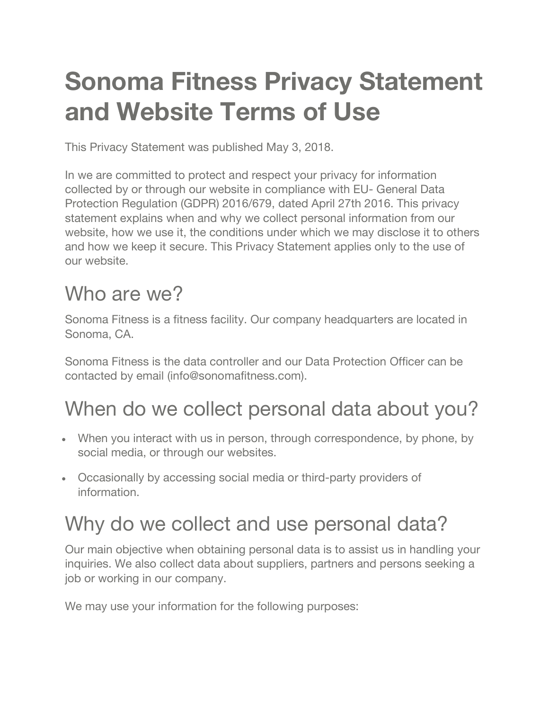# **Sonoma Fitness Privacy Statement and Website Terms of Use**

This Privacy Statement was published May 3, 2018.

In we are committed to protect and respect your privacy for information collected by or through our website in compliance with EU- General Data Protection Regulation (GDPR) 2016/679, dated April 27th 2016. This privacy statement explains when and why we collect personal information from our website, how we use it, the conditions under which we may disclose it to others and how we keep it secure. This Privacy Statement applies only to the use of our website.

# Who are we?

Sonoma Fitness is a fitness facility. Our company headquarters are located in Sonoma, CA.

Sonoma Fitness is the data controller and our Data Protection Officer can be contacted by email (info@sonomafitness.com).

# When do we collect personal data about you?

- When you interact with us in person, through correspondence, by phone, by social media, or through our websites.
- Occasionally by accessing social media or third-party providers of information.

# Why do we collect and use personal data?

Our main objective when obtaining personal data is to assist us in handling your inquiries. We also collect data about suppliers, partners and persons seeking a job or working in our company.

We may use your information for the following purposes: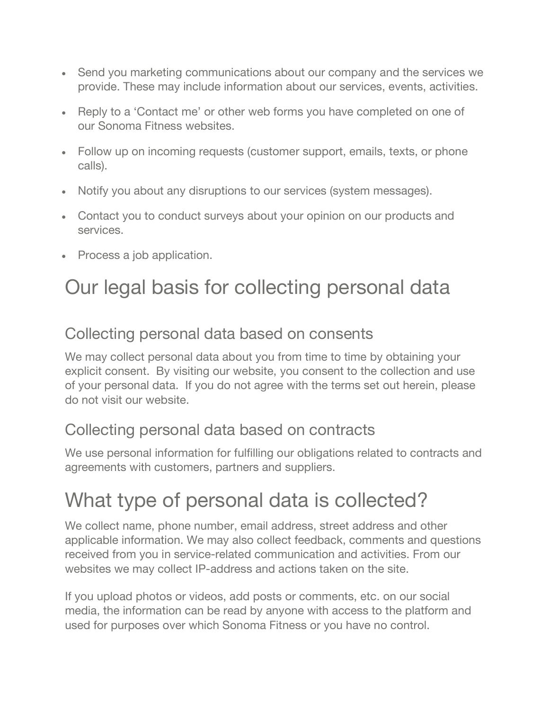- Send you marketing communications about our company and the services we provide. These may include information about our services, events, activities.
- Reply to a 'Contact me' or other web forms you have completed on one of our Sonoma Fitness websites.
- Follow up on incoming requests (customer support, emails, texts, or phone calls).
- Notify you about any disruptions to our services (system messages).
- Contact you to conduct surveys about your opinion on our products and services.
- Process a job application.

### Our legal basis for collecting personal data

#### Collecting personal data based on consents

We may collect personal data about you from time to time by obtaining your explicit consent. By visiting our website, you consent to the collection and use of your personal data. If you do not agree with the terms set out herein, please do not visit our website.

#### Collecting personal data based on contracts

We use personal information for fulfilling our obligations related to contracts and agreements with customers, partners and suppliers.

### What type of personal data is collected?

We collect name, phone number, email address, street address and other applicable information. We may also collect feedback, comments and questions received from you in service-related communication and activities. From our websites we may collect IP-address and actions taken on the site.

If you upload photos or videos, add posts or comments, etc. on our social media, the information can be read by anyone with access to the platform and used for purposes over which Sonoma Fitness or you have no control.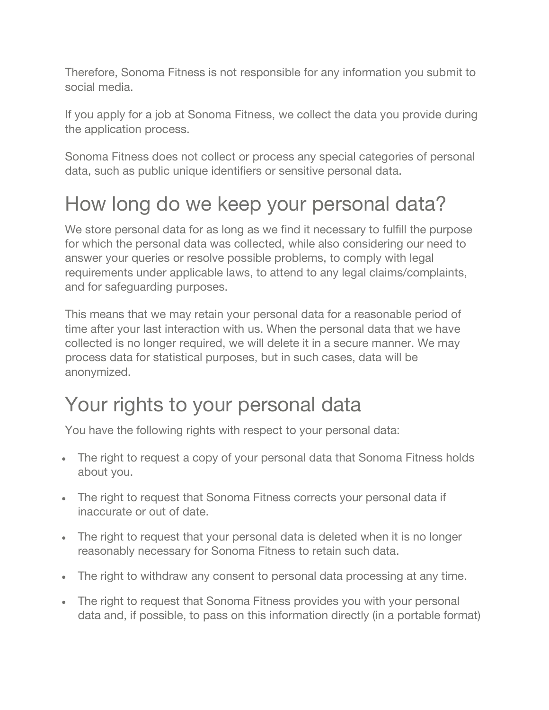Therefore, Sonoma Fitness is not responsible for any information you submit to social media.

If you apply for a job at Sonoma Fitness, we collect the data you provide during the application process.

Sonoma Fitness does not collect or process any special categories of personal data, such as public unique identifiers or sensitive personal data.

# How long do we keep your personal data?

We store personal data for as long as we find it necessary to fulfill the purpose for which the personal data was collected, while also considering our need to answer your queries or resolve possible problems, to comply with legal requirements under applicable laws, to attend to any legal claims/complaints, and for safeguarding purposes.

This means that we may retain your personal data for a reasonable period of time after your last interaction with us. When the personal data that we have collected is no longer required, we will delete it in a secure manner. We may process data for statistical purposes, but in such cases, data will be anonymized.

## Your rights to your personal data

You have the following rights with respect to your personal data:

- The right to request a copy of your personal data that Sonoma Fitness holds about you.
- The right to request that Sonoma Fitness corrects your personal data if inaccurate or out of date.
- The right to request that your personal data is deleted when it is no longer reasonably necessary for Sonoma Fitness to retain such data.
- The right to withdraw any consent to personal data processing at any time.
- The right to request that Sonoma Fitness provides you with your personal data and, if possible, to pass on this information directly (in a portable format)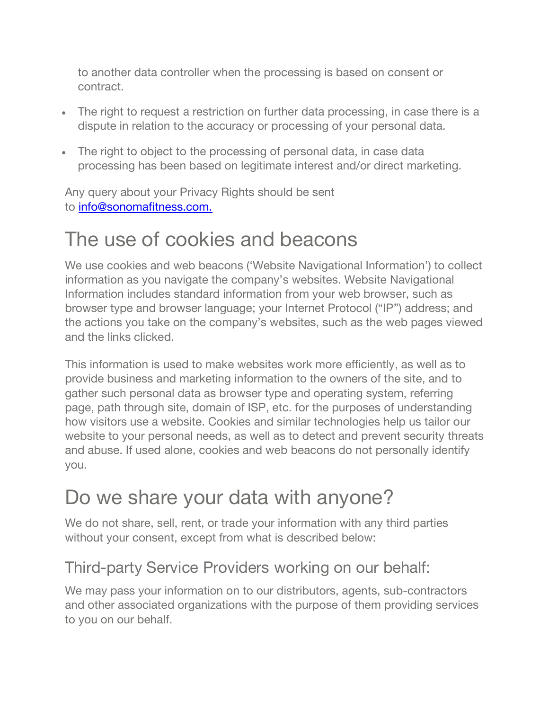to another data controller when the processing is based on consent or contract.

- The right to request a restriction on further data processing, in case there is a dispute in relation to the accuracy or processing of your personal data.
- The right to object to the processing of personal data, in case data processing has been based on legitimate interest and/or direct marketing.

Any query about your Privacy Rights should be sent to info@sonomafitness.com.

### The use of cookies and beacons

We use cookies and web beacons ('Website Navigational Information') to collect information as you navigate the company's websites. Website Navigational Information includes standard information from your web browser, such as browser type and browser language; your Internet Protocol ("IP") address; and the actions you take on the company's websites, such as the web pages viewed and the links clicked.

This information is used to make websites work more efficiently, as well as to provide business and marketing information to the owners of the site, and to gather such personal data as browser type and operating system, referring page, path through site, domain of ISP, etc. for the purposes of understanding how visitors use a website. Cookies and similar technologies help us tailor our website to your personal needs, as well as to detect and prevent security threats and abuse. If used alone, cookies and web beacons do not personally identify you.

### Do we share your data with anyone?

We do not share, sell, rent, or trade your information with any third parties without your consent, except from what is described below:

#### Third-party Service Providers working on our behalf:

We may pass your information on to our distributors, agents, sub-contractors and other associated organizations with the purpose of them providing services to you on our behalf.